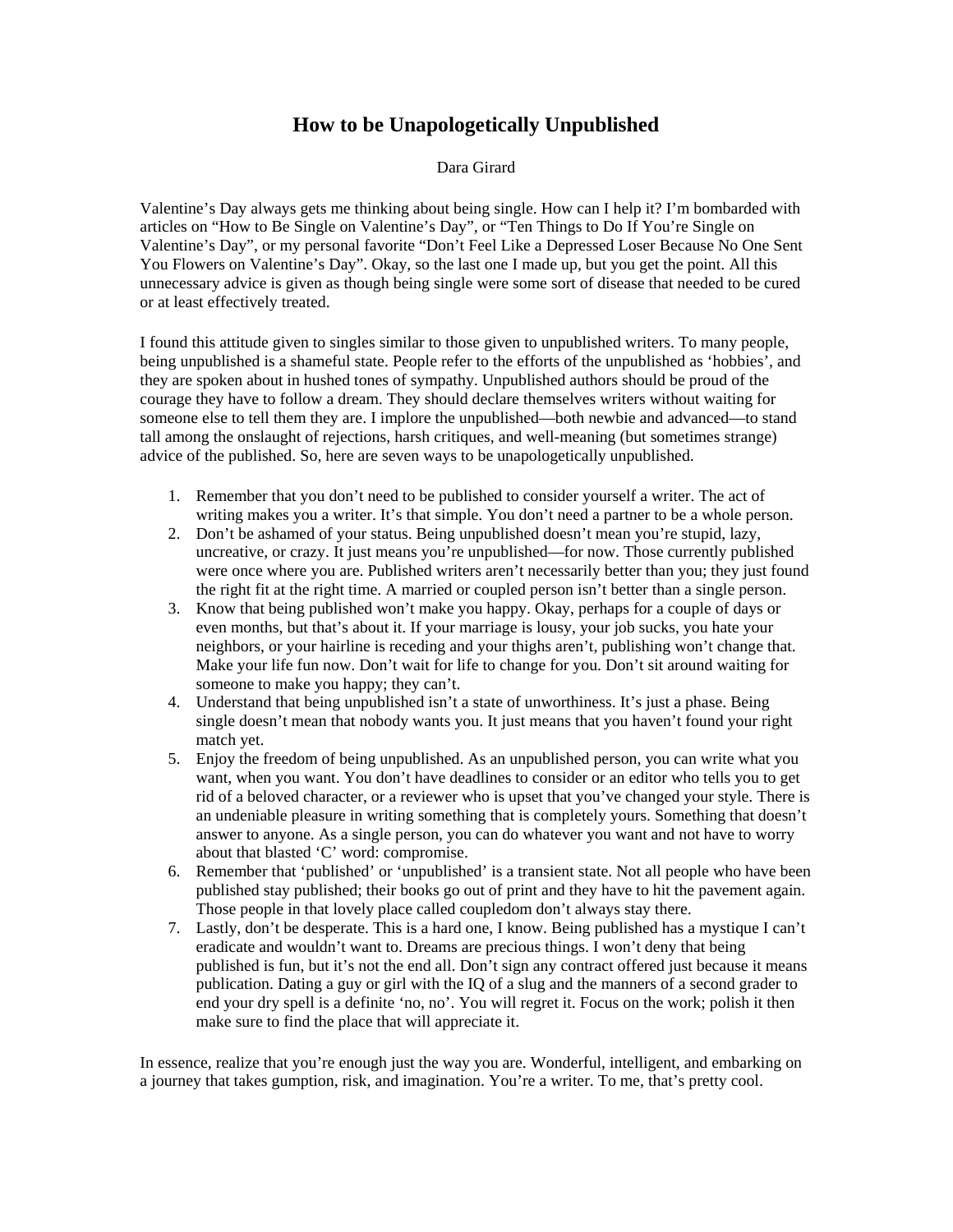## **How to be Unapologetically Unpublished**

## Dara Girard

Valentine's Day always gets me thinking about being single. How can I help it? I'm bombarded with articles on "How to Be Single on Valentine's Day", or "Ten Things to Do If You're Single on Valentine's Day", or my personal favorite "Don't Feel Like a Depressed Loser Because No One Sent You Flowers on Valentine's Day". Okay, so the last one I made up, but you get the point. All this unnecessary advice is given as though being single were some sort of disease that needed to be cured or at least effectively treated.

I found this attitude given to singles similar to those given to unpublished writers. To many people, being unpublished is a shameful state. People refer to the efforts of the unpublished as 'hobbies', and they are spoken about in hushed tones of sympathy. Unpublished authors should be proud of the courage they have to follow a dream. They should declare themselves writers without waiting for someone else to tell them they are. I implore the unpublished—both newbie and advanced—to stand tall among the onslaught of rejections, harsh critiques, and well-meaning (but sometimes strange) advice of the published. So, here are seven ways to be unapologetically unpublished.

- 1. Remember that you don't need to be published to consider yourself a writer. The act of writing makes you a writer. It's that simple. You don't need a partner to be a whole person.
- 2. Don't be ashamed of your status. Being unpublished doesn't mean you're stupid, lazy, uncreative, or crazy. It just means you're unpublished—for now. Those currently published were once where you are. Published writers aren't necessarily better than you; they just found the right fit at the right time. A married or coupled person isn't better than a single person.
- 3. Know that being published won't make you happy. Okay, perhaps for a couple of days or even months, but that's about it. If your marriage is lousy, your job sucks, you hate your neighbors, or your hairline is receding and your thighs aren't, publishing won't change that. Make your life fun now. Don't wait for life to change for you. Don't sit around waiting for someone to make you happy; they can't.
- 4. Understand that being unpublished isn't a state of unworthiness. It's just a phase. Being single doesn't mean that nobody wants you. It just means that you haven't found your right match yet.
- 5. Enjoy the freedom of being unpublished. As an unpublished person, you can write what you want, when you want. You don't have deadlines to consider or an editor who tells you to get rid of a beloved character, or a reviewer who is upset that you've changed your style. There is an undeniable pleasure in writing something that is completely yours. Something that doesn't answer to anyone. As a single person, you can do whatever you want and not have to worry about that blasted 'C' word: compromise.
- 6. Remember that 'published' or 'unpublished' is a transient state. Not all people who have been published stay published; their books go out of print and they have to hit the pavement again. Those people in that lovely place called coupledom don't always stay there.
- 7. Lastly, don't be desperate. This is a hard one, I know. Being published has a mystique I can't eradicate and wouldn't want to. Dreams are precious things. I won't deny that being published is fun, but it's not the end all. Don't sign any contract offered just because it means publication. Dating a guy or girl with the IQ of a slug and the manners of a second grader to end your dry spell is a definite 'no, no'. You will regret it. Focus on the work; polish it then make sure to find the place that will appreciate it.

In essence, realize that you're enough just the way you are. Wonderful, intelligent, and embarking on a journey that takes gumption, risk, and imagination. You're a writer. To me, that's pretty cool.